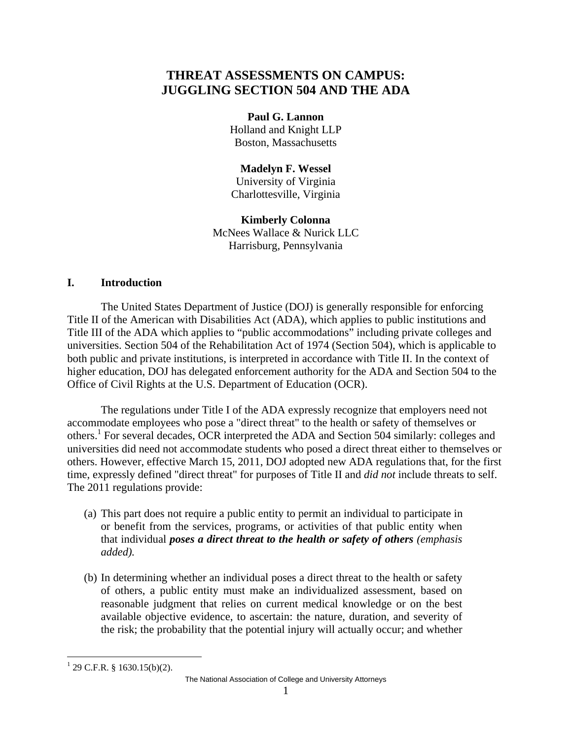# **THREAT ASSESSMENTS ON CAMPUS: JUGGLING SECTION 504 AND THE ADA**

**Paul G. Lannon**  Holland and Knight LLP Boston, Massachusetts

**Madelyn F. Wessel**  University of Virginia Charlottesville, Virginia

**Kimberly Colonna**  McNees Wallace & Nurick LLC Harrisburg, Pennsylvania

# **I. Introduction**

The United States Department of Justice (DOJ) is generally responsible for enforcing Title II of the American with Disabilities Act (ADA), which applies to public institutions and Title III of the ADA which applies to "public accommodations" including private colleges and universities. Section 504 of the Rehabilitation Act of 1974 (Section 504), which is applicable to both public and private institutions, is interpreted in accordance with Title II. In the context of higher education, DOJ has delegated enforcement authority for the ADA and Section 504 to the Office of Civil Rights at the U.S. Department of Education (OCR).

The regulations under Title I of the ADA expressly recognize that employers need not accommodate employees who pose a "direct threat" to the health or safety of themselves or others.<sup>1</sup> For several decades, OCR interpreted the ADA and Section 504 similarly: colleges and universities did need not accommodate students who posed a direct threat either to themselves or others. However, effective March 15, 2011, DOJ adopted new ADA regulations that, for the first time, expressly defined "direct threat" for purposes of Title II and *did not* include threats to self. The 2011 regulations provide:

- (a) This part does not require a public entity to permit an individual to participate in or benefit from the services, programs, or activities of that public entity when that individual *poses a direct threat to the health or safety of others (emphasis added).*
- (b) In determining whether an individual poses a direct threat to the health or safety of others, a public entity must make an individualized assessment, based on reasonable judgment that relies on current medical knowledge or on the best available objective evidence, to ascertain: the nature, duration, and severity of the risk; the probability that the potential injury will actually occur; and whether

<u>.</u>

The National Association of College and University Attorneys

 $1$  29 C.F.R. § 1630.15(b)(2).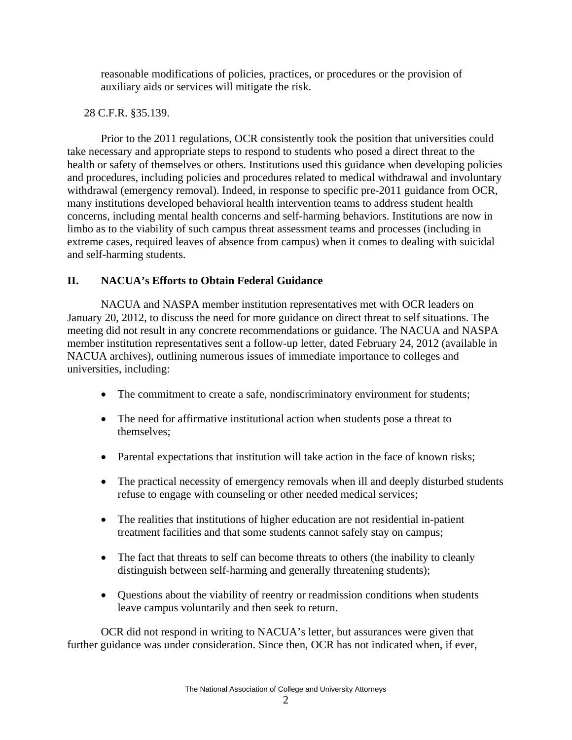reasonable modifications of policies, practices, or procedures or the provision of auxiliary aids or services will mitigate the risk.

# 28 C.F.R. §35.139.

Prior to the 2011 regulations, OCR consistently took the position that universities could take necessary and appropriate steps to respond to students who posed a direct threat to the health or safety of themselves or others. Institutions used this guidance when developing policies and procedures, including policies and procedures related to medical withdrawal and involuntary withdrawal (emergency removal). Indeed, in response to specific pre-2011 guidance from OCR, many institutions developed behavioral health intervention teams to address student health concerns, including mental health concerns and self-harming behaviors. Institutions are now in limbo as to the viability of such campus threat assessment teams and processes (including in extreme cases, required leaves of absence from campus) when it comes to dealing with suicidal and self-harming students.

# **II. NACUA's Efforts to Obtain Federal Guidance**

NACUA and NASPA member institution representatives met with OCR leaders on January 20, 2012, to discuss the need for more guidance on direct threat to self situations. The meeting did not result in any concrete recommendations or guidance. The NACUA and NASPA member institution representatives sent a follow-up letter, dated February 24, 2012 (available in NACUA archives), outlining numerous issues of immediate importance to colleges and universities, including:

- The commitment to create a safe, nondiscriminatory environment for students;
- The need for affirmative institutional action when students pose a threat to themselves;
- Parental expectations that institution will take action in the face of known risks;
- The practical necessity of emergency removals when ill and deeply disturbed students refuse to engage with counseling or other needed medical services;
- The realities that institutions of higher education are not residential in-patient treatment facilities and that some students cannot safely stay on campus;
- The fact that threats to self can become threats to others (the inability to cleanly distinguish between self-harming and generally threatening students);
- Questions about the viability of reentry or readmission conditions when students leave campus voluntarily and then seek to return.

OCR did not respond in writing to NACUA's letter, but assurances were given that further guidance was under consideration. Since then, OCR has not indicated when, if ever,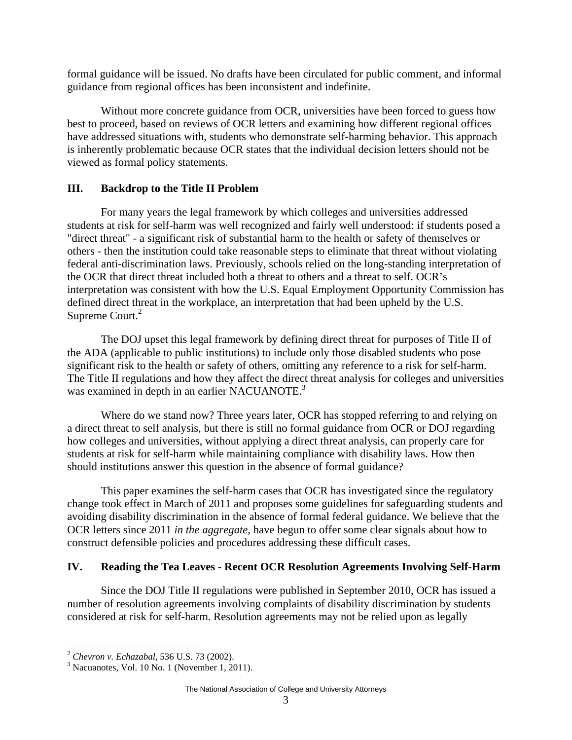formal guidance will be issued. No drafts have been circulated for public comment, and informal guidance from regional offices has been inconsistent and indefinite.

Without more concrete guidance from OCR, universities have been forced to guess how best to proceed, based on reviews of OCR letters and examining how different regional offices have addressed situations with, students who demonstrate self-harming behavior. This approach is inherently problematic because OCR states that the individual decision letters should not be viewed as formal policy statements.

### **III. Backdrop to the Title II Problem**

For many years the legal framework by which colleges and universities addressed students at risk for self-harm was well recognized and fairly well understood: if students posed a "direct threat" - a significant risk of substantial harm to the health or safety of themselves or others - then the institution could take reasonable steps to eliminate that threat without violating federal anti-discrimination laws. Previously, schools relied on the long-standing interpretation of the OCR that direct threat included both a threat to others and a threat to self. OCR's interpretation was consistent with how the U.S. Equal Employment Opportunity Commission has defined direct threat in the workplace, an interpretation that had been upheld by the U.S. Supreme Court.<sup>2</sup>

The DOJ upset this legal framework by defining direct threat for purposes of Title II of the ADA (applicable to public institutions) to include only those disabled students who pose significant risk to the health or safety of others, omitting any reference to a risk for self-harm. The Title II regulations and how they affect the direct threat analysis for colleges and universities was examined in depth in an earlier NACUANOTE.<sup>3</sup>

Where do we stand now? Three years later, OCR has stopped referring to and relying on a direct threat to self analysis, but there is still no formal guidance from OCR or DOJ regarding how colleges and universities, without applying a direct threat analysis, can properly care for students at risk for self-harm while maintaining compliance with disability laws. How then should institutions answer this question in the absence of formal guidance?

This paper examines the self-harm cases that OCR has investigated since the regulatory change took effect in March of 2011 and proposes some guidelines for safeguarding students and avoiding disability discrimination in the absence of formal federal guidance. We believe that the OCR letters since 2011 *in the aggregate*, have begun to offer some clear signals about how to construct defensible policies and procedures addressing these difficult cases.

# **IV. Reading the Tea Leaves - Recent OCR Resolution Agreements Involving Self-Harm**

Since the DOJ Title II regulations were published in September 2010, OCR has issued a number of resolution agreements involving complaints of disability discrimination by students considered at risk for self-harm. Resolution agreements may not be relied upon as legally

 $\overline{a}$ 

<sup>&</sup>lt;sup>2</sup> Chevron v. Echazabal, 536 U.S. 73 (2002).

 $3$  Nacuanotes, Vol. 10 No. 1 (November 1, 2011).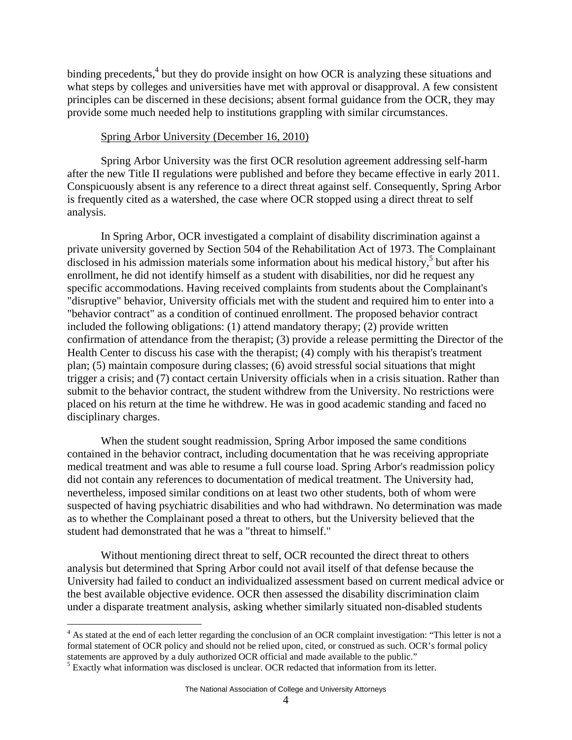binding precedents,<sup>4</sup> but they do provide insight on how OCR is analyzing these situations and what steps by colleges and universities have met with approval or disapproval. A few consistent principles can be discerned in these decisions; absent formal guidance from the OCR, they may provide some much needed help to institutions grappling with similar circumstances.

#### Spring Arbor University (December 16, 2010)

Spring Arbor University was the first OCR resolution agreement addressing self-harm after the new Title II regulations were published and before they became effective in early 2011. Conspicuously absent is any reference to a direct threat against self. Consequently, Spring Arbor is frequently cited as a watershed, the case where OCR stopped using a direct threat to self analysis.

In Spring Arbor, OCR investigated a complaint of disability discrimination against a private university governed by Section 504 of the Rehabilitation Act of 1973. The Complainant disclosed in his admission materials some information about his medical history, $5$  but after his enrollment, he did not identify himself as a student with disabilities, nor did he request any specific accommodations. Having received complaints from students about the Complainant's "disruptive" behavior, University officials met with the student and required him to enter into a "behavior contract" as a condition of continued enrollment. The proposed behavior contract included the following obligations: (1) attend mandatory therapy; (2) provide written confirmation of attendance from the therapist; (3) provide a release permitting the Director of the Health Center to discuss his case with the therapist; (4) comply with his therapist's treatment plan; (5) maintain composure during classes; (6) avoid stressful social situations that might trigger a crisis; and (7) contact certain University officials when in a crisis situation. Rather than submit to the behavior contract, the student withdrew from the University. No restrictions were placed on his return at the time he withdrew. He was in good academic standing and faced no disciplinary charges.

When the student sought readmission, Spring Arbor imposed the same conditions contained in the behavior contract, including documentation that he was receiving appropriate medical treatment and was able to resume a full course load. Spring Arbor's readmission policy did not contain any references to documentation of medical treatment. The University had, nevertheless, imposed similar conditions on at least two other students, both of whom were suspected of having psychiatric disabilities and who had withdrawn. No determination was made as to whether the Complainant posed a threat to others, but the University believed that the student had demonstrated that he was a "threat to himself."

Without mentioning direct threat to self, OCR recounted the direct threat to others analysis but determined that Spring Arbor could not avail itself of that defense because the University had failed to conduct an individualized assessment based on current medical advice or the best available objective evidence. OCR then assessed the disability discrimination claim under a disparate treatment analysis, asking whether similarly situated non-disabled students

 $\overline{a}$ 

<sup>&</sup>lt;sup>4</sup> As stated at the end of each letter regarding the conclusion of an OCR complaint investigation: "This letter is not a formal statement of OCR policy and should not be relied upon, cited, or construed as such. OCR's formal policy statements are approved by a duly authorized OCR official and made available to the public." 5

<sup>&</sup>lt;sup>5</sup> Exactly what information was disclosed is unclear. OCR redacted that information from its letter.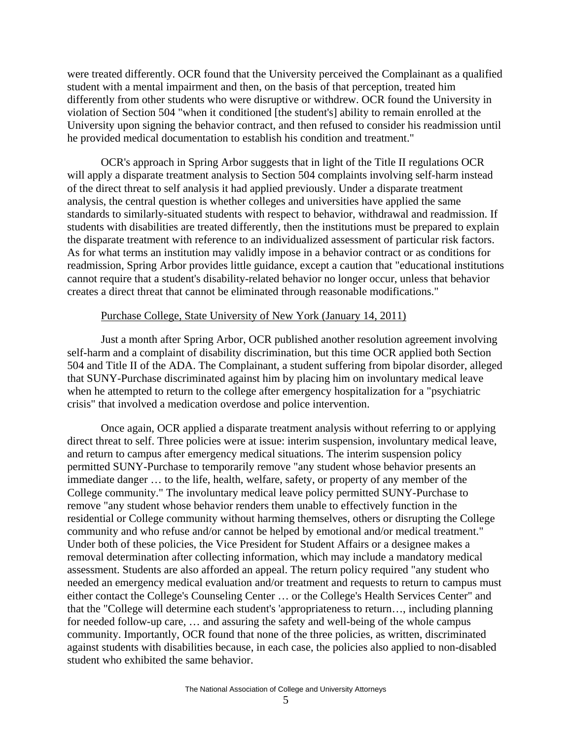were treated differently. OCR found that the University perceived the Complainant as a qualified student with a mental impairment and then, on the basis of that perception, treated him differently from other students who were disruptive or withdrew. OCR found the University in violation of Section 504 "when it conditioned [the student's] ability to remain enrolled at the University upon signing the behavior contract, and then refused to consider his readmission until he provided medical documentation to establish his condition and treatment."

OCR's approach in Spring Arbor suggests that in light of the Title II regulations OCR will apply a disparate treatment analysis to Section 504 complaints involving self-harm instead of the direct threat to self analysis it had applied previously. Under a disparate treatment analysis, the central question is whether colleges and universities have applied the same standards to similarly-situated students with respect to behavior, withdrawal and readmission. If students with disabilities are treated differently, then the institutions must be prepared to explain the disparate treatment with reference to an individualized assessment of particular risk factors. As for what terms an institution may validly impose in a behavior contract or as conditions for readmission, Spring Arbor provides little guidance, except a caution that "educational institutions cannot require that a student's disability-related behavior no longer occur, unless that behavior creates a direct threat that cannot be eliminated through reasonable modifications."

#### Purchase College, State University of New York (January 14, 2011)

Just a month after Spring Arbor, OCR published another resolution agreement involving self-harm and a complaint of disability discrimination, but this time OCR applied both Section 504 and Title II of the ADA. The Complainant, a student suffering from bipolar disorder, alleged that SUNY-Purchase discriminated against him by placing him on involuntary medical leave when he attempted to return to the college after emergency hospitalization for a "psychiatric crisis" that involved a medication overdose and police intervention.

Once again, OCR applied a disparate treatment analysis without referring to or applying direct threat to self. Three policies were at issue: interim suspension, involuntary medical leave, and return to campus after emergency medical situations. The interim suspension policy permitted SUNY-Purchase to temporarily remove "any student whose behavior presents an immediate danger … to the life, health, welfare, safety, or property of any member of the College community." The involuntary medical leave policy permitted SUNY-Purchase to remove "any student whose behavior renders them unable to effectively function in the residential or College community without harming themselves, others or disrupting the College community and who refuse and/or cannot be helped by emotional and/or medical treatment." Under both of these policies, the Vice President for Student Affairs or a designee makes a removal determination after collecting information, which may include a mandatory medical assessment. Students are also afforded an appeal. The return policy required "any student who needed an emergency medical evaluation and/or treatment and requests to return to campus must either contact the College's Counseling Center … or the College's Health Services Center" and that the "College will determine each student's 'appropriateness to return…, including planning for needed follow-up care, … and assuring the safety and well-being of the whole campus community. Importantly, OCR found that none of the three policies, as written, discriminated against students with disabilities because, in each case, the policies also applied to non-disabled student who exhibited the same behavior.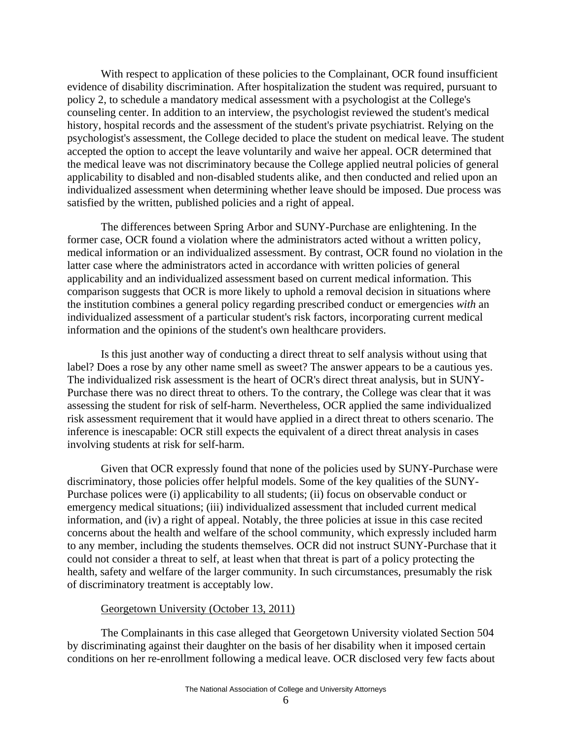With respect to application of these policies to the Complainant, OCR found insufficient evidence of disability discrimination. After hospitalization the student was required, pursuant to policy 2, to schedule a mandatory medical assessment with a psychologist at the College's counseling center. In addition to an interview, the psychologist reviewed the student's medical history, hospital records and the assessment of the student's private psychiatrist. Relying on the psychologist's assessment, the College decided to place the student on medical leave. The student accepted the option to accept the leave voluntarily and waive her appeal. OCR determined that the medical leave was not discriminatory because the College applied neutral policies of general applicability to disabled and non-disabled students alike, and then conducted and relied upon an individualized assessment when determining whether leave should be imposed. Due process was satisfied by the written, published policies and a right of appeal.

The differences between Spring Arbor and SUNY-Purchase are enlightening. In the former case, OCR found a violation where the administrators acted without a written policy, medical information or an individualized assessment. By contrast, OCR found no violation in the latter case where the administrators acted in accordance with written policies of general applicability and an individualized assessment based on current medical information. This comparison suggests that OCR is more likely to uphold a removal decision in situations where the institution combines a general policy regarding prescribed conduct or emergencies *with* an individualized assessment of a particular student's risk factors, incorporating current medical information and the opinions of the student's own healthcare providers.

Is this just another way of conducting a direct threat to self analysis without using that label? Does a rose by any other name smell as sweet? The answer appears to be a cautious yes. The individualized risk assessment is the heart of OCR's direct threat analysis, but in SUNY-Purchase there was no direct threat to others. To the contrary, the College was clear that it was assessing the student for risk of self-harm. Nevertheless, OCR applied the same individualized risk assessment requirement that it would have applied in a direct threat to others scenario. The inference is inescapable: OCR still expects the equivalent of a direct threat analysis in cases involving students at risk for self-harm.

Given that OCR expressly found that none of the policies used by SUNY-Purchase were discriminatory, those policies offer helpful models. Some of the key qualities of the SUNY-Purchase polices were (i) applicability to all students; (ii) focus on observable conduct or emergency medical situations; (iii) individualized assessment that included current medical information, and (iv) a right of appeal. Notably, the three policies at issue in this case recited concerns about the health and welfare of the school community, which expressly included harm to any member, including the students themselves. OCR did not instruct SUNY-Purchase that it could not consider a threat to self, at least when that threat is part of a policy protecting the health, safety and welfare of the larger community. In such circumstances, presumably the risk of discriminatory treatment is acceptably low.

#### Georgetown University (October 13, 2011)

The Complainants in this case alleged that Georgetown University violated Section 504 by discriminating against their daughter on the basis of her disability when it imposed certain conditions on her re-enrollment following a medical leave. OCR disclosed very few facts about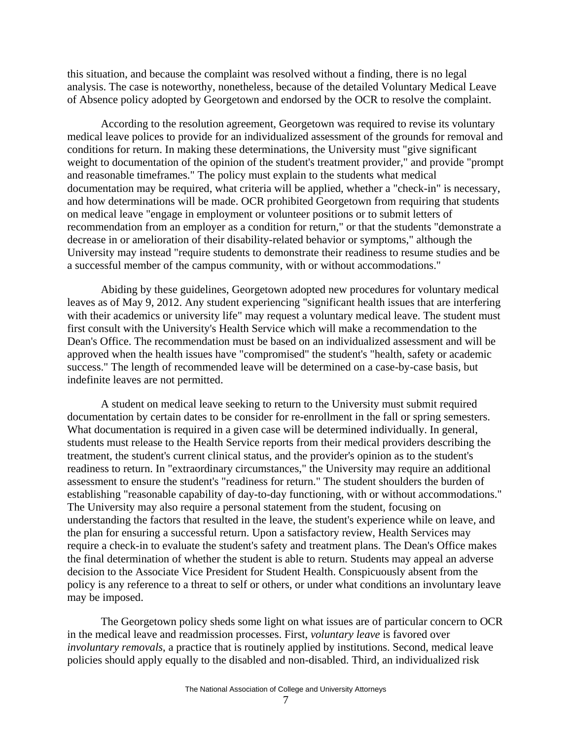this situation, and because the complaint was resolved without a finding, there is no legal analysis. The case is noteworthy, nonetheless, because of the detailed Voluntary Medical Leave of Absence policy adopted by Georgetown and endorsed by the OCR to resolve the complaint.

According to the resolution agreement, Georgetown was required to revise its voluntary medical leave polices to provide for an individualized assessment of the grounds for removal and conditions for return. In making these determinations, the University must "give significant weight to documentation of the opinion of the student's treatment provider," and provide "prompt and reasonable timeframes." The policy must explain to the students what medical documentation may be required, what criteria will be applied, whether a "check-in" is necessary, and how determinations will be made. OCR prohibited Georgetown from requiring that students on medical leave "engage in employment or volunteer positions or to submit letters of recommendation from an employer as a condition for return," or that the students "demonstrate a decrease in or amelioration of their disability-related behavior or symptoms," although the University may instead "require students to demonstrate their readiness to resume studies and be a successful member of the campus community, with or without accommodations."

Abiding by these guidelines, Georgetown adopted new procedures for voluntary medical leaves as of May 9, 2012. Any student experiencing "significant health issues that are interfering with their academics or university life" may request a voluntary medical leave. The student must first consult with the University's Health Service which will make a recommendation to the Dean's Office. The recommendation must be based on an individualized assessment and will be approved when the health issues have "compromised" the student's "health, safety or academic success." The length of recommended leave will be determined on a case-by-case basis, but indefinite leaves are not permitted.

A student on medical leave seeking to return to the University must submit required documentation by certain dates to be consider for re-enrollment in the fall or spring semesters. What documentation is required in a given case will be determined individually. In general, students must release to the Health Service reports from their medical providers describing the treatment, the student's current clinical status, and the provider's opinion as to the student's readiness to return. In "extraordinary circumstances," the University may require an additional assessment to ensure the student's "readiness for return." The student shoulders the burden of establishing "reasonable capability of day-to-day functioning, with or without accommodations." The University may also require a personal statement from the student, focusing on understanding the factors that resulted in the leave, the student's experience while on leave, and the plan for ensuring a successful return. Upon a satisfactory review, Health Services may require a check-in to evaluate the student's safety and treatment plans. The Dean's Office makes the final determination of whether the student is able to return. Students may appeal an adverse decision to the Associate Vice President for Student Health. Conspicuously absent from the policy is any reference to a threat to self or others, or under what conditions an involuntary leave may be imposed.

The Georgetown policy sheds some light on what issues are of particular concern to OCR in the medical leave and readmission processes. First, *voluntary leave* is favored over *involuntary removals*, a practice that is routinely applied by institutions. Second, medical leave policies should apply equally to the disabled and non-disabled. Third, an individualized risk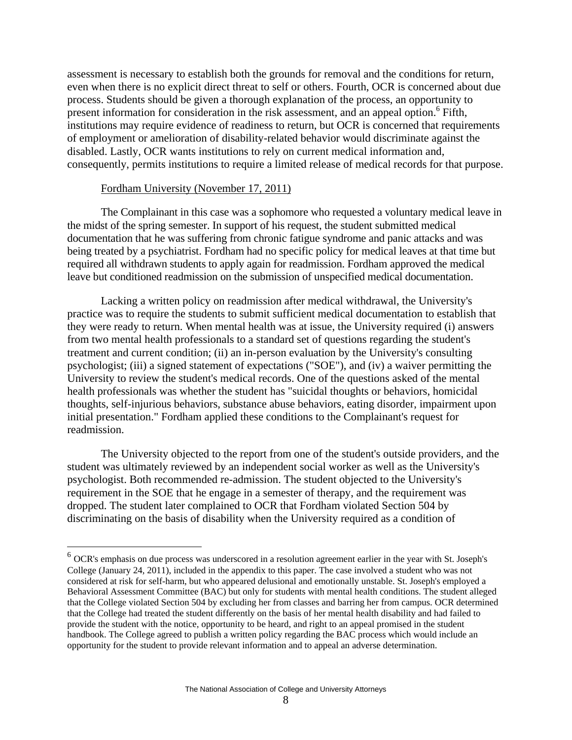assessment is necessary to establish both the grounds for removal and the conditions for return, even when there is no explicit direct threat to self or others. Fourth, OCR is concerned about due process. Students should be given a thorough explanation of the process, an opportunity to present information for consideration in the risk assessment, and an appeal option.<sup>6</sup> Fifth, institutions may require evidence of readiness to return, but OCR is concerned that requirements of employment or amelioration of disability-related behavior would discriminate against the disabled. Lastly, OCR wants institutions to rely on current medical information and, consequently, permits institutions to require a limited release of medical records for that purpose.

#### Fordham University (November 17, 2011)

 $\overline{a}$ 

The Complainant in this case was a sophomore who requested a voluntary medical leave in the midst of the spring semester. In support of his request, the student submitted medical documentation that he was suffering from chronic fatigue syndrome and panic attacks and was being treated by a psychiatrist. Fordham had no specific policy for medical leaves at that time but required all withdrawn students to apply again for readmission. Fordham approved the medical leave but conditioned readmission on the submission of unspecified medical documentation.

Lacking a written policy on readmission after medical withdrawal, the University's practice was to require the students to submit sufficient medical documentation to establish that they were ready to return. When mental health was at issue, the University required (i) answers from two mental health professionals to a standard set of questions regarding the student's treatment and current condition; (ii) an in-person evaluation by the University's consulting psychologist; (iii) a signed statement of expectations ("SOE"), and (iv) a waiver permitting the University to review the student's medical records. One of the questions asked of the mental health professionals was whether the student has "suicidal thoughts or behaviors, homicidal thoughts, self-injurious behaviors, substance abuse behaviors, eating disorder, impairment upon initial presentation." Fordham applied these conditions to the Complainant's request for readmission.

The University objected to the report from one of the student's outside providers, and the student was ultimately reviewed by an independent social worker as well as the University's psychologist. Both recommended re-admission. The student objected to the University's requirement in the SOE that he engage in a semester of therapy, and the requirement was dropped. The student later complained to OCR that Fordham violated Section 504 by discriminating on the basis of disability when the University required as a condition of

 $6$  OCR's emphasis on due process was underscored in a resolution agreement earlier in the year with St. Joseph's College (January 24, 2011), included in the appendix to this paper. The case involved a student who was not considered at risk for self-harm, but who appeared delusional and emotionally unstable. St. Joseph's employed a Behavioral Assessment Committee (BAC) but only for students with mental health conditions. The student alleged that the College violated Section 504 by excluding her from classes and barring her from campus. OCR determined that the College had treated the student differently on the basis of her mental health disability and had failed to provide the student with the notice, opportunity to be heard, and right to an appeal promised in the student handbook. The College agreed to publish a written policy regarding the BAC process which would include an opportunity for the student to provide relevant information and to appeal an adverse determination.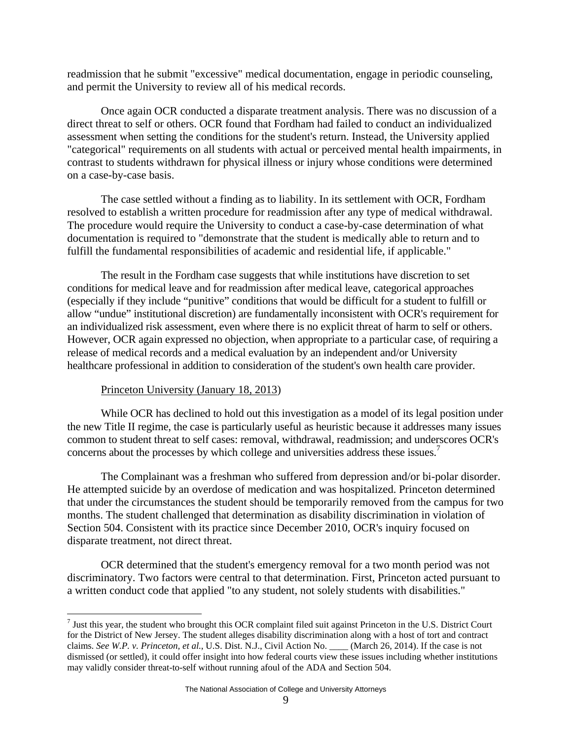readmission that he submit "excessive" medical documentation, engage in periodic counseling, and permit the University to review all of his medical records.

Once again OCR conducted a disparate treatment analysis. There was no discussion of a direct threat to self or others. OCR found that Fordham had failed to conduct an individualized assessment when setting the conditions for the student's return. Instead, the University applied "categorical" requirements on all students with actual or perceived mental health impairments, in contrast to students withdrawn for physical illness or injury whose conditions were determined on a case-by-case basis.

The case settled without a finding as to liability. In its settlement with OCR, Fordham resolved to establish a written procedure for readmission after any type of medical withdrawal. The procedure would require the University to conduct a case-by-case determination of what documentation is required to "demonstrate that the student is medically able to return and to fulfill the fundamental responsibilities of academic and residential life, if applicable."

The result in the Fordham case suggests that while institutions have discretion to set conditions for medical leave and for readmission after medical leave, categorical approaches (especially if they include "punitive" conditions that would be difficult for a student to fulfill or allow "undue" institutional discretion) are fundamentally inconsistent with OCR's requirement for an individualized risk assessment, even where there is no explicit threat of harm to self or others. However, OCR again expressed no objection, when appropriate to a particular case, of requiring a release of medical records and a medical evaluation by an independent and/or University healthcare professional in addition to consideration of the student's own health care provider.

#### Princeton University (January 18, 2013)

1

While OCR has declined to hold out this investigation as a model of its legal position under the new Title II regime, the case is particularly useful as heuristic because it addresses many issues common to student threat to self cases: removal, withdrawal, readmission; and underscores OCR's concerns about the processes by which college and universities address these issues.<sup>7</sup>

The Complainant was a freshman who suffered from depression and/or bi-polar disorder. He attempted suicide by an overdose of medication and was hospitalized. Princeton determined that under the circumstances the student should be temporarily removed from the campus for two months. The student challenged that determination as disability discrimination in violation of Section 504. Consistent with its practice since December 2010, OCR's inquiry focused on disparate treatment, not direct threat.

OCR determined that the student's emergency removal for a two month period was not discriminatory. Two factors were central to that determination. First, Princeton acted pursuant to a written conduct code that applied "to any student, not solely students with disabilities."

 $<sup>7</sup>$  Just this year, the student who brought this OCR complaint filed suit against Princeton in the U.S. District Court</sup> for the District of New Jersey. The student alleges disability discrimination along with a host of tort and contract claims. *See W.P. v. Princeton, et al.*, U.S. Dist. N.J., Civil Action No. \_\_\_\_ (March 26, 2014). If the case is not dismissed (or settled), it could offer insight into how federal courts view these issues including whether institutions may validly consider threat-to-self without running afoul of the ADA and Section 504.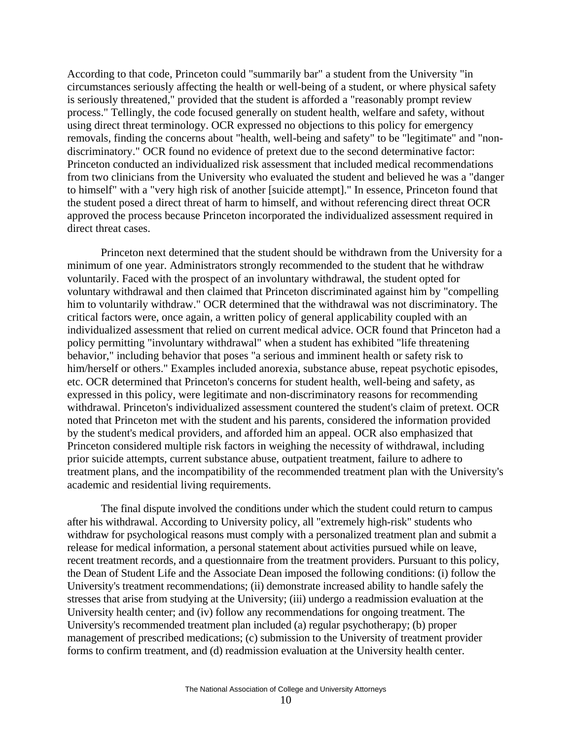According to that code, Princeton could "summarily bar" a student from the University "in circumstances seriously affecting the health or well-being of a student, or where physical safety is seriously threatened," provided that the student is afforded a "reasonably prompt review process." Tellingly, the code focused generally on student health, welfare and safety, without using direct threat terminology. OCR expressed no objections to this policy for emergency removals, finding the concerns about "health, well-being and safety" to be "legitimate" and "nondiscriminatory." OCR found no evidence of pretext due to the second determinative factor: Princeton conducted an individualized risk assessment that included medical recommendations from two clinicians from the University who evaluated the student and believed he was a "danger to himself" with a "very high risk of another [suicide attempt]." In essence, Princeton found that the student posed a direct threat of harm to himself, and without referencing direct threat OCR approved the process because Princeton incorporated the individualized assessment required in direct threat cases.

Princeton next determined that the student should be withdrawn from the University for a minimum of one year. Administrators strongly recommended to the student that he withdraw voluntarily. Faced with the prospect of an involuntary withdrawal, the student opted for voluntary withdrawal and then claimed that Princeton discriminated against him by "compelling him to voluntarily withdraw." OCR determined that the withdrawal was not discriminatory. The critical factors were, once again, a written policy of general applicability coupled with an individualized assessment that relied on current medical advice. OCR found that Princeton had a policy permitting "involuntary withdrawal" when a student has exhibited "life threatening behavior," including behavior that poses "a serious and imminent health or safety risk to him/herself or others." Examples included anorexia, substance abuse, repeat psychotic episodes, etc. OCR determined that Princeton's concerns for student health, well-being and safety, as expressed in this policy, were legitimate and non-discriminatory reasons for recommending withdrawal. Princeton's individualized assessment countered the student's claim of pretext. OCR noted that Princeton met with the student and his parents, considered the information provided by the student's medical providers, and afforded him an appeal. OCR also emphasized that Princeton considered multiple risk factors in weighing the necessity of withdrawal, including prior suicide attempts, current substance abuse, outpatient treatment, failure to adhere to treatment plans, and the incompatibility of the recommended treatment plan with the University's academic and residential living requirements.

The final dispute involved the conditions under which the student could return to campus after his withdrawal. According to University policy, all "extremely high-risk" students who withdraw for psychological reasons must comply with a personalized treatment plan and submit a release for medical information, a personal statement about activities pursued while on leave, recent treatment records, and a questionnaire from the treatment providers. Pursuant to this policy, the Dean of Student Life and the Associate Dean imposed the following conditions: (i) follow the University's treatment recommendations; (ii) demonstrate increased ability to handle safely the stresses that arise from studying at the University; (iii) undergo a readmission evaluation at the University health center; and (iv) follow any recommendations for ongoing treatment. The University's recommended treatment plan included (a) regular psychotherapy; (b) proper management of prescribed medications; (c) submission to the University of treatment provider forms to confirm treatment, and (d) readmission evaluation at the University health center.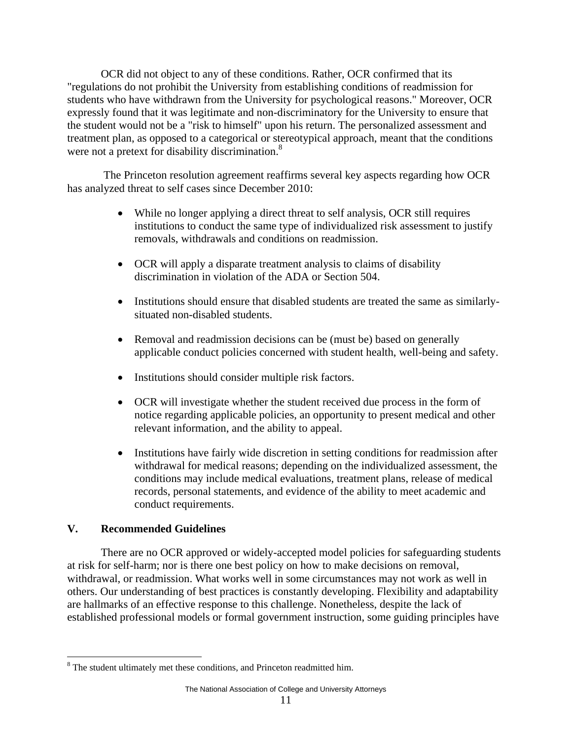OCR did not object to any of these conditions. Rather, OCR confirmed that its "regulations do not prohibit the University from establishing conditions of readmission for students who have withdrawn from the University for psychological reasons." Moreover, OCR expressly found that it was legitimate and non-discriminatory for the University to ensure that the student would not be a "risk to himself" upon his return. The personalized assessment and treatment plan, as opposed to a categorical or stereotypical approach, meant that the conditions were not a pretext for disability discrimination.<sup>8</sup>

 The Princeton resolution agreement reaffirms several key aspects regarding how OCR has analyzed threat to self cases since December 2010:

- While no longer applying a direct threat to self analysis, OCR still requires institutions to conduct the same type of individualized risk assessment to justify removals, withdrawals and conditions on readmission.
- OCR will apply a disparate treatment analysis to claims of disability discrimination in violation of the ADA or Section 504.
- Institutions should ensure that disabled students are treated the same as similarlysituated non-disabled students.
- Removal and readmission decisions can be (must be) based on generally applicable conduct policies concerned with student health, well-being and safety.
- Institutions should consider multiple risk factors.
- OCR will investigate whether the student received due process in the form of notice regarding applicable policies, an opportunity to present medical and other relevant information, and the ability to appeal.
- Institutions have fairly wide discretion in setting conditions for readmission after withdrawal for medical reasons; depending on the individualized assessment, the conditions may include medical evaluations, treatment plans, release of medical records, personal statements, and evidence of the ability to meet academic and conduct requirements.

# **V. Recommended Guidelines**

 $\overline{a}$ 

There are no OCR approved or widely-accepted model policies for safeguarding students at risk for self-harm; nor is there one best policy on how to make decisions on removal, withdrawal, or readmission. What works well in some circumstances may not work as well in others. Our understanding of best practices is constantly developing. Flexibility and adaptability are hallmarks of an effective response to this challenge. Nonetheless, despite the lack of established professional models or formal government instruction, some guiding principles have

 $8$  The student ultimately met these conditions, and Princeton readmitted him.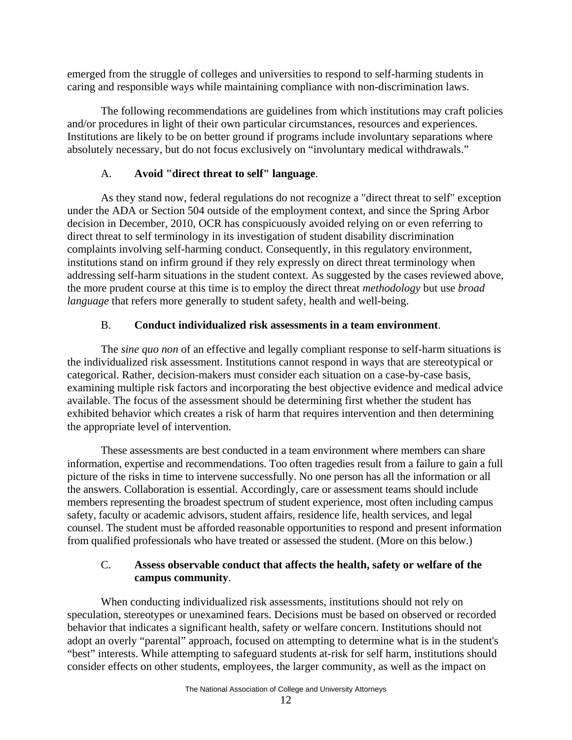emerged from the struggle of colleges and universities to respond to self-harming students in caring and responsible ways while maintaining compliance with non-discrimination laws.

The following recommendations are guidelines from which institutions may craft policies and/or procedures in light of their own particular circumstances, resources and experiences. Institutions are likely to be on better ground if programs include involuntary separations where absolutely necessary, but do not focus exclusively on "involuntary medical withdrawals."

# A. **Avoid "direct threat to self" language**.

As they stand now, federal regulations do not recognize a "direct threat to self" exception under the ADA or Section 504 outside of the employment context, and since the Spring Arbor decision in December, 2010, OCR has conspicuously avoided relying on or even referring to direct threat to self terminology in its investigation of student disability discrimination complaints involving self-harming conduct. Consequently, in this regulatory environment, institutions stand on infirm ground if they rely expressly on direct threat terminology when addressing self-harm situations in the student context. As suggested by the cases reviewed above, the more prudent course at this time is to employ the direct threat *methodology* but use *broad language* that refers more generally to student safety, health and well-being.

# B. **Conduct individualized risk assessments in a team environment**.

The *sine quo non* of an effective and legally compliant response to self-harm situations is the individualized risk assessment. Institutions cannot respond in ways that are stereotypical or categorical. Rather, decision-makers must consider each situation on a case-by-case basis, examining multiple risk factors and incorporating the best objective evidence and medical advice available. The focus of the assessment should be determining first whether the student has exhibited behavior which creates a risk of harm that requires intervention and then determining the appropriate level of intervention.

These assessments are best conducted in a team environment where members can share information, expertise and recommendations. Too often tragedies result from a failure to gain a full picture of the risks in time to intervene successfully. No one person has all the information or all the answers. Collaboration is essential. Accordingly, care or assessment teams should include members representing the broadest spectrum of student experience, most often including campus safety, faculty or academic advisors, student affairs, residence life, health services, and legal counsel. The student must be afforded reasonable opportunities to respond and present information from qualified professionals who have treated or assessed the student. (More on this below.)

# C. **Assess observable conduct that affects the health, safety or welfare of the campus community**.

When conducting individualized risk assessments, institutions should not rely on speculation, stereotypes or unexamined fears. Decisions must be based on observed or recorded behavior that indicates a significant health, safety or welfare concern. Institutions should not adopt an overly "parental" approach, focused on attempting to determine what is in the student's "best" interests. While attempting to safeguard students at-risk for self harm, institutions should consider effects on other students, employees, the larger community, as well as the impact on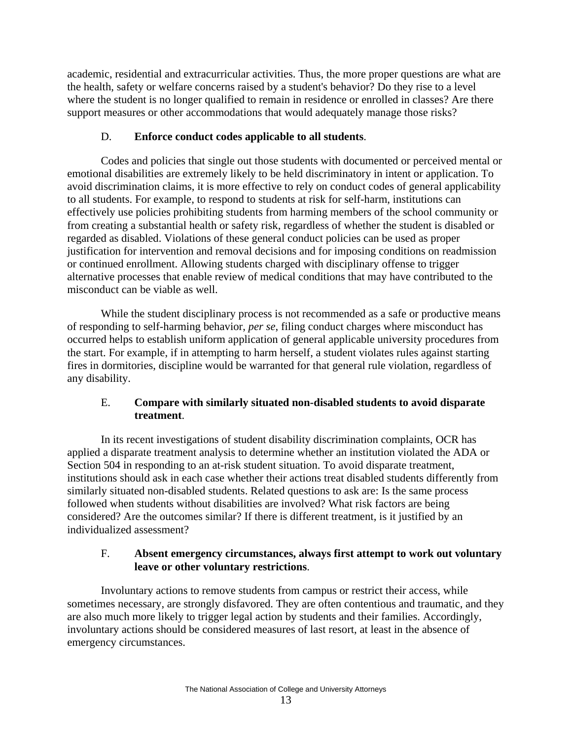academic, residential and extracurricular activities. Thus, the more proper questions are what are the health, safety or welfare concerns raised by a student's behavior? Do they rise to a level where the student is no longer qualified to remain in residence or enrolled in classes? Are there support measures or other accommodations that would adequately manage those risks?

# D. **Enforce conduct codes applicable to all students**.

Codes and policies that single out those students with documented or perceived mental or emotional disabilities are extremely likely to be held discriminatory in intent or application. To avoid discrimination claims, it is more effective to rely on conduct codes of general applicability to all students. For example, to respond to students at risk for self-harm, institutions can effectively use policies prohibiting students from harming members of the school community or from creating a substantial health or safety risk, regardless of whether the student is disabled or regarded as disabled. Violations of these general conduct policies can be used as proper justification for intervention and removal decisions and for imposing conditions on readmission or continued enrollment. Allowing students charged with disciplinary offense to trigger alternative processes that enable review of medical conditions that may have contributed to the misconduct can be viable as well.

While the student disciplinary process is not recommended as a safe or productive means of responding to self-harming behavior, *per se*, filing conduct charges where misconduct has occurred helps to establish uniform application of general applicable university procedures from the start. For example, if in attempting to harm herself, a student violates rules against starting fires in dormitories, discipline would be warranted for that general rule violation, regardless of any disability.

# E. **Compare with similarly situated non-disabled students to avoid disparate treatment**.

In its recent investigations of student disability discrimination complaints, OCR has applied a disparate treatment analysis to determine whether an institution violated the ADA or Section 504 in responding to an at-risk student situation. To avoid disparate treatment, institutions should ask in each case whether their actions treat disabled students differently from similarly situated non-disabled students. Related questions to ask are: Is the same process followed when students without disabilities are involved? What risk factors are being considered? Are the outcomes similar? If there is different treatment, is it justified by an individualized assessment?

# F. **Absent emergency circumstances, always first attempt to work out voluntary leave or other voluntary restrictions**.

Involuntary actions to remove students from campus or restrict their access, while sometimes necessary, are strongly disfavored. They are often contentious and traumatic, and they are also much more likely to trigger legal action by students and their families. Accordingly, involuntary actions should be considered measures of last resort, at least in the absence of emergency circumstances.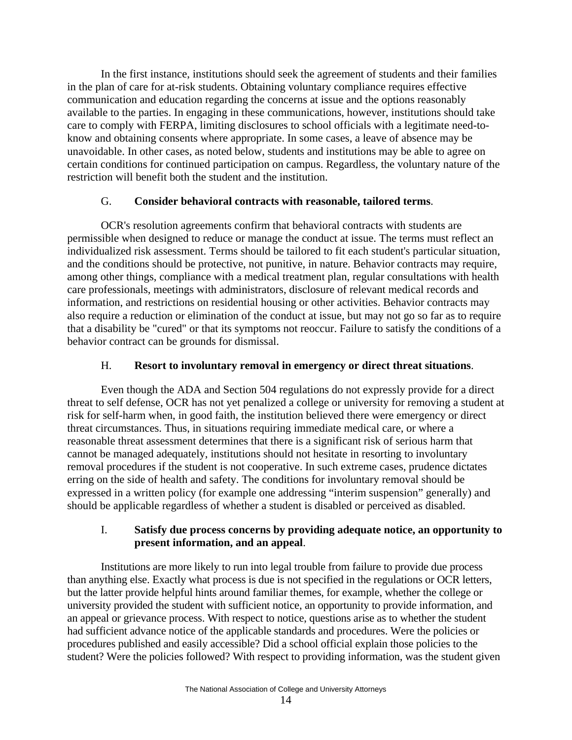In the first instance, institutions should seek the agreement of students and their families in the plan of care for at-risk students. Obtaining voluntary compliance requires effective communication and education regarding the concerns at issue and the options reasonably available to the parties. In engaging in these communications, however, institutions should take care to comply with FERPA, limiting disclosures to school officials with a legitimate need-toknow and obtaining consents where appropriate. In some cases, a leave of absence may be unavoidable. In other cases, as noted below, students and institutions may be able to agree on certain conditions for continued participation on campus. Regardless, the voluntary nature of the restriction will benefit both the student and the institution.

### G. **Consider behavioral contracts with reasonable, tailored terms**.

OCR's resolution agreements confirm that behavioral contracts with students are permissible when designed to reduce or manage the conduct at issue. The terms must reflect an individualized risk assessment. Terms should be tailored to fit each student's particular situation, and the conditions should be protective, not punitive, in nature. Behavior contracts may require, among other things, compliance with a medical treatment plan, regular consultations with health care professionals, meetings with administrators, disclosure of relevant medical records and information, and restrictions on residential housing or other activities. Behavior contracts may also require a reduction or elimination of the conduct at issue, but may not go so far as to require that a disability be "cured" or that its symptoms not reoccur. Failure to satisfy the conditions of a behavior contract can be grounds for dismissal.

### H. **Resort to involuntary removal in emergency or direct threat situations**.

Even though the ADA and Section 504 regulations do not expressly provide for a direct threat to self defense, OCR has not yet penalized a college or university for removing a student at risk for self-harm when, in good faith, the institution believed there were emergency or direct threat circumstances. Thus, in situations requiring immediate medical care, or where a reasonable threat assessment determines that there is a significant risk of serious harm that cannot be managed adequately, institutions should not hesitate in resorting to involuntary removal procedures if the student is not cooperative. In such extreme cases, prudence dictates erring on the side of health and safety. The conditions for involuntary removal should be expressed in a written policy (for example one addressing "interim suspension" generally) and should be applicable regardless of whether a student is disabled or perceived as disabled.

### I. **Satisfy due process concerns by providing adequate notice, an opportunity to present information, and an appeal**.

Institutions are more likely to run into legal trouble from failure to provide due process than anything else. Exactly what process is due is not specified in the regulations or OCR letters, but the latter provide helpful hints around familiar themes, for example, whether the college or university provided the student with sufficient notice, an opportunity to provide information, and an appeal or grievance process. With respect to notice, questions arise as to whether the student had sufficient advance notice of the applicable standards and procedures. Were the policies or procedures published and easily accessible? Did a school official explain those policies to the student? Were the policies followed? With respect to providing information, was the student given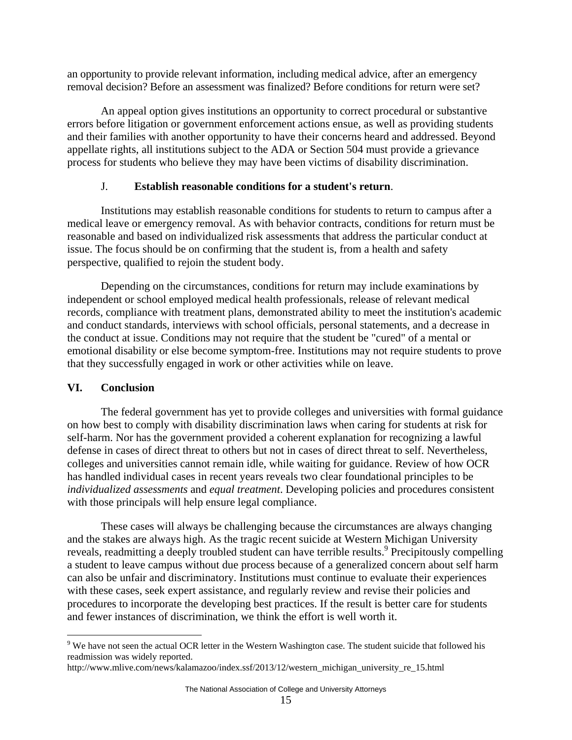an opportunity to provide relevant information, including medical advice, after an emergency removal decision? Before an assessment was finalized? Before conditions for return were set?

An appeal option gives institutions an opportunity to correct procedural or substantive errors before litigation or government enforcement actions ensue, as well as providing students and their families with another opportunity to have their concerns heard and addressed. Beyond appellate rights, all institutions subject to the ADA or Section 504 must provide a grievance process for students who believe they may have been victims of disability discrimination.

### J. **Establish reasonable conditions for a student's return**.

Institutions may establish reasonable conditions for students to return to campus after a medical leave or emergency removal. As with behavior contracts, conditions for return must be reasonable and based on individualized risk assessments that address the particular conduct at issue. The focus should be on confirming that the student is, from a health and safety perspective, qualified to rejoin the student body.

Depending on the circumstances, conditions for return may include examinations by independent or school employed medical health professionals, release of relevant medical records, compliance with treatment plans, demonstrated ability to meet the institution's academic and conduct standards, interviews with school officials, personal statements, and a decrease in the conduct at issue. Conditions may not require that the student be "cured" of a mental or emotional disability or else become symptom-free. Institutions may not require students to prove that they successfully engaged in work or other activities while on leave.

# **VI. Conclusion**

 $\overline{a}$ 

The federal government has yet to provide colleges and universities with formal guidance on how best to comply with disability discrimination laws when caring for students at risk for self-harm. Nor has the government provided a coherent explanation for recognizing a lawful defense in cases of direct threat to others but not in cases of direct threat to self. Nevertheless, colleges and universities cannot remain idle, while waiting for guidance. Review of how OCR has handled individual cases in recent years reveals two clear foundational principles to be *individualized assessments* and *equal treatment*. Developing policies and procedures consistent with those principals will help ensure legal compliance.

These cases will always be challenging because the circumstances are always changing and the stakes are always high. As the tragic recent suicide at Western Michigan University reveals, readmitting a deeply troubled student can have terrible results.<sup>9</sup> Precipitously compelling a student to leave campus without due process because of a generalized concern about self harm can also be unfair and discriminatory. Institutions must continue to evaluate their experiences with these cases, seek expert assistance, and regularly review and revise their policies and procedures to incorporate the developing best practices. If the result is better care for students and fewer instances of discrimination, we think the effort is well worth it.

 $9$  We have not seen the actual OCR letter in the Western Washington case. The student suicide that followed his readmission was widely reported.

http://www.mlive.com/news/kalamazoo/index.ssf/2013/12/western\_michigan\_university\_re\_15.html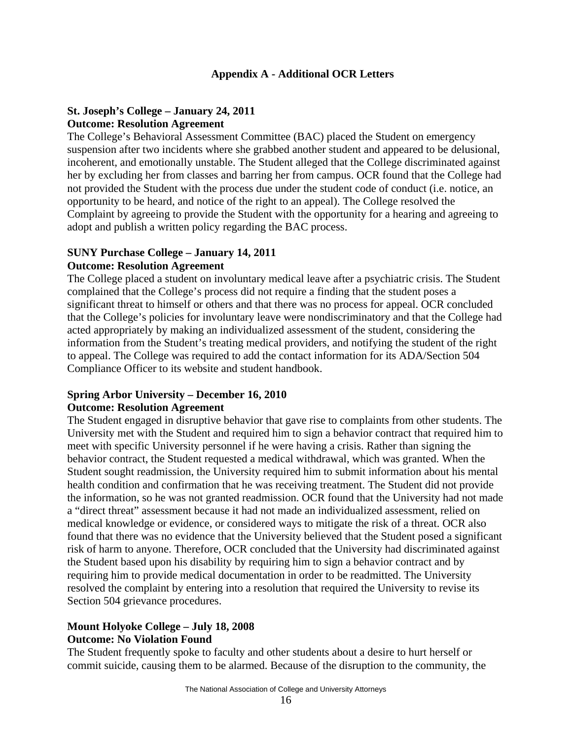### **Appendix A - Additional OCR Letters**

# **St. Joseph's College – January 24, 2011 Outcome: Resolution Agreement**

The College's Behavioral Assessment Committee (BAC) placed the Student on emergency suspension after two incidents where she grabbed another student and appeared to be delusional, incoherent, and emotionally unstable. The Student alleged that the College discriminated against her by excluding her from classes and barring her from campus. OCR found that the College had not provided the Student with the process due under the student code of conduct (i.e. notice, an opportunity to be heard, and notice of the right to an appeal). The College resolved the Complaint by agreeing to provide the Student with the opportunity for a hearing and agreeing to adopt and publish a written policy regarding the BAC process.

#### **SUNY Purchase College – January 14, 2011 Outcome: Resolution Agreement**

The College placed a student on involuntary medical leave after a psychiatric crisis. The Student complained that the College's process did not require a finding that the student poses a significant threat to himself or others and that there was no process for appeal. OCR concluded that the College's policies for involuntary leave were nondiscriminatory and that the College had acted appropriately by making an individualized assessment of the student, considering the information from the Student's treating medical providers, and notifying the student of the right to appeal. The College was required to add the contact information for its ADA/Section 504 Compliance Officer to its website and student handbook.

#### **Spring Arbor University – December 16, 2010 Outcome: Resolution Agreement**

The Student engaged in disruptive behavior that gave rise to complaints from other students. The University met with the Student and required him to sign a behavior contract that required him to meet with specific University personnel if he were having a crisis. Rather than signing the behavior contract, the Student requested a medical withdrawal, which was granted. When the Student sought readmission, the University required him to submit information about his mental health condition and confirmation that he was receiving treatment. The Student did not provide the information, so he was not granted readmission. OCR found that the University had not made a "direct threat" assessment because it had not made an individualized assessment, relied on medical knowledge or evidence, or considered ways to mitigate the risk of a threat. OCR also found that there was no evidence that the University believed that the Student posed a significant risk of harm to anyone. Therefore, OCR concluded that the University had discriminated against the Student based upon his disability by requiring him to sign a behavior contract and by requiring him to provide medical documentation in order to be readmitted. The University resolved the complaint by entering into a resolution that required the University to revise its Section 504 grievance procedures.

### **Mount Holyoke College – July 18, 2008 Outcome: No Violation Found**

The Student frequently spoke to faculty and other students about a desire to hurt herself or commit suicide, causing them to be alarmed. Because of the disruption to the community, the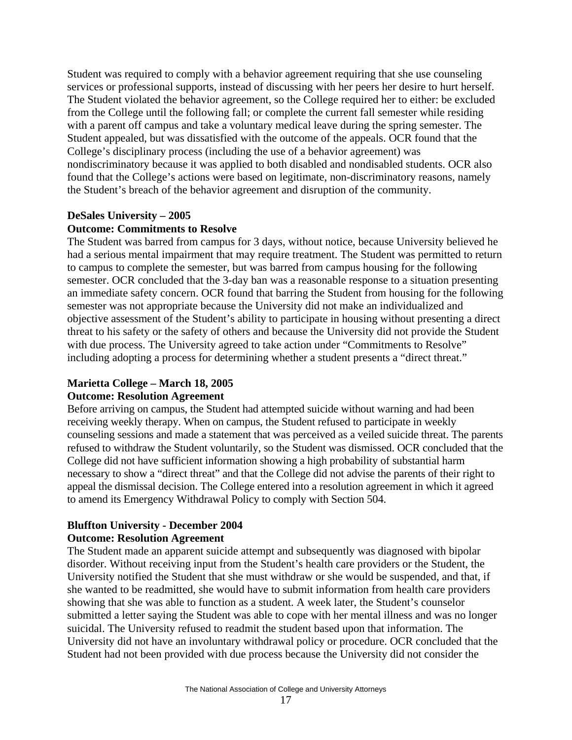Student was required to comply with a behavior agreement requiring that she use counseling services or professional supports, instead of discussing with her peers her desire to hurt herself. The Student violated the behavior agreement, so the College required her to either: be excluded from the College until the following fall; or complete the current fall semester while residing with a parent off campus and take a voluntary medical leave during the spring semester. The Student appealed, but was dissatisfied with the outcome of the appeals. OCR found that the College's disciplinary process (including the use of a behavior agreement) was nondiscriminatory because it was applied to both disabled and nondisabled students. OCR also found that the College's actions were based on legitimate, non-discriminatory reasons, namely the Student's breach of the behavior agreement and disruption of the community.

# **DeSales University – 2005**

#### **Outcome: Commitments to Resolve**

The Student was barred from campus for 3 days, without notice, because University believed he had a serious mental impairment that may require treatment. The Student was permitted to return to campus to complete the semester, but was barred from campus housing for the following semester. OCR concluded that the 3-day ban was a reasonable response to a situation presenting an immediate safety concern. OCR found that barring the Student from housing for the following semester was not appropriate because the University did not make an individualized and objective assessment of the Student's ability to participate in housing without presenting a direct threat to his safety or the safety of others and because the University did not provide the Student with due process. The University agreed to take action under "Commitments to Resolve" including adopting a process for determining whether a student presents a "direct threat."

#### **Marietta College – March 18, 2005**

#### **Outcome: Resolution Agreement**

Before arriving on campus, the Student had attempted suicide without warning and had been receiving weekly therapy. When on campus, the Student refused to participate in weekly counseling sessions and made a statement that was perceived as a veiled suicide threat. The parents refused to withdraw the Student voluntarily, so the Student was dismissed. OCR concluded that the College did not have sufficient information showing a high probability of substantial harm necessary to show a "direct threat" and that the College did not advise the parents of their right to appeal the dismissal decision. The College entered into a resolution agreement in which it agreed to amend its Emergency Withdrawal Policy to comply with Section 504.

#### **Bluffton University - December 2004 Outcome: Resolution Agreement**

The Student made an apparent suicide attempt and subsequently was diagnosed with bipolar disorder. Without receiving input from the Student's health care providers or the Student, the University notified the Student that she must withdraw or she would be suspended, and that, if she wanted to be readmitted, she would have to submit information from health care providers showing that she was able to function as a student. A week later, the Student's counselor submitted a letter saying the Student was able to cope with her mental illness and was no longer suicidal. The University refused to readmit the student based upon that information. The University did not have an involuntary withdrawal policy or procedure. OCR concluded that the Student had not been provided with due process because the University did not consider the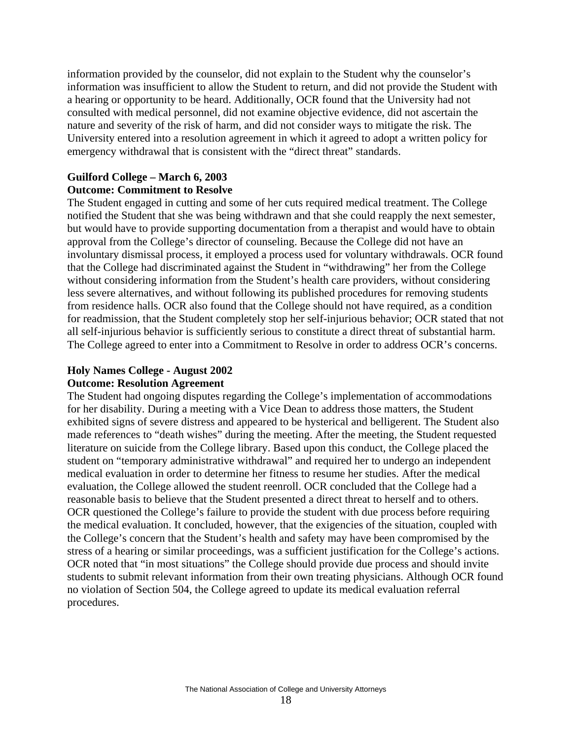information provided by the counselor, did not explain to the Student why the counselor's information was insufficient to allow the Student to return, and did not provide the Student with a hearing or opportunity to be heard. Additionally, OCR found that the University had not consulted with medical personnel, did not examine objective evidence, did not ascertain the nature and severity of the risk of harm, and did not consider ways to mitigate the risk. The University entered into a resolution agreement in which it agreed to adopt a written policy for emergency withdrawal that is consistent with the "direct threat" standards.

# **Guilford College – March 6, 2003 Outcome: Commitment to Resolve**

The Student engaged in cutting and some of her cuts required medical treatment. The College notified the Student that she was being withdrawn and that she could reapply the next semester, but would have to provide supporting documentation from a therapist and would have to obtain approval from the College's director of counseling. Because the College did not have an involuntary dismissal process, it employed a process used for voluntary withdrawals. OCR found that the College had discriminated against the Student in "withdrawing" her from the College without considering information from the Student's health care providers, without considering less severe alternatives, and without following its published procedures for removing students from residence halls. OCR also found that the College should not have required, as a condition for readmission, that the Student completely stop her self-injurious behavior; OCR stated that not all self-injurious behavior is sufficiently serious to constitute a direct threat of substantial harm. The College agreed to enter into a Commitment to Resolve in order to address OCR's concerns.

#### **Holy Names College - August 2002 Outcome: Resolution Agreement**

The Student had ongoing disputes regarding the College's implementation of accommodations for her disability. During a meeting with a Vice Dean to address those matters, the Student exhibited signs of severe distress and appeared to be hysterical and belligerent. The Student also made references to "death wishes" during the meeting. After the meeting, the Student requested literature on suicide from the College library. Based upon this conduct, the College placed the student on "temporary administrative withdrawal" and required her to undergo an independent medical evaluation in order to determine her fitness to resume her studies. After the medical evaluation, the College allowed the student reenroll. OCR concluded that the College had a reasonable basis to believe that the Student presented a direct threat to herself and to others. OCR questioned the College's failure to provide the student with due process before requiring the medical evaluation. It concluded, however, that the exigencies of the situation, coupled with the College's concern that the Student's health and safety may have been compromised by the stress of a hearing or similar proceedings, was a sufficient justification for the College's actions. OCR noted that "in most situations" the College should provide due process and should invite students to submit relevant information from their own treating physicians. Although OCR found no violation of Section 504, the College agreed to update its medical evaluation referral procedures.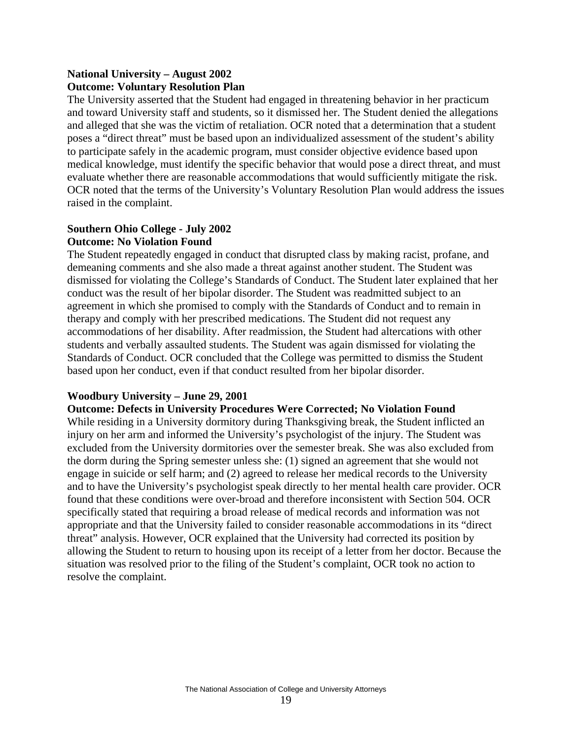# **National University – August 2002 Outcome: Voluntary Resolution Plan**

The University asserted that the Student had engaged in threatening behavior in her practicum and toward University staff and students, so it dismissed her. The Student denied the allegations and alleged that she was the victim of retaliation. OCR noted that a determination that a student poses a "direct threat" must be based upon an individualized assessment of the student's ability to participate safely in the academic program, must consider objective evidence based upon medical knowledge, must identify the specific behavior that would pose a direct threat, and must evaluate whether there are reasonable accommodations that would sufficiently mitigate the risk. OCR noted that the terms of the University's Voluntary Resolution Plan would address the issues raised in the complaint.

# **Southern Ohio College - July 2002 Outcome: No Violation Found**

The Student repeatedly engaged in conduct that disrupted class by making racist, profane, and demeaning comments and she also made a threat against another student. The Student was dismissed for violating the College's Standards of Conduct. The Student later explained that her conduct was the result of her bipolar disorder. The Student was readmitted subject to an agreement in which she promised to comply with the Standards of Conduct and to remain in therapy and comply with her prescribed medications. The Student did not request any accommodations of her disability. After readmission, the Student had altercations with other students and verbally assaulted students. The Student was again dismissed for violating the Standards of Conduct. OCR concluded that the College was permitted to dismiss the Student based upon her conduct, even if that conduct resulted from her bipolar disorder.

# **Woodbury University – June 29, 2001**

# **Outcome: Defects in University Procedures Were Corrected; No Violation Found**

While residing in a University dormitory during Thanksgiving break, the Student inflicted an injury on her arm and informed the University's psychologist of the injury. The Student was excluded from the University dormitories over the semester break. She was also excluded from the dorm during the Spring semester unless she: (1) signed an agreement that she would not engage in suicide or self harm; and (2) agreed to release her medical records to the University and to have the University's psychologist speak directly to her mental health care provider. OCR found that these conditions were over-broad and therefore inconsistent with Section 504. OCR specifically stated that requiring a broad release of medical records and information was not appropriate and that the University failed to consider reasonable accommodations in its "direct threat" analysis. However, OCR explained that the University had corrected its position by allowing the Student to return to housing upon its receipt of a letter from her doctor. Because the situation was resolved prior to the filing of the Student's complaint, OCR took no action to resolve the complaint.